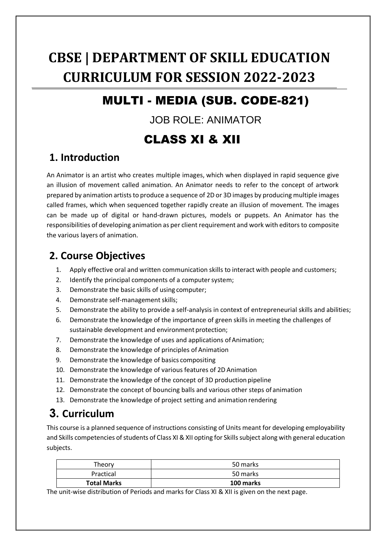# **CBSE | DEPARTMENT OF SKILL EDUCATION CURRICULUM FOR SESSION 2022-2023**

# MULTI - MEDIA (SUB. CODE-821)

### JOB ROLE: ANIMATOR

# CLASS XI & XII

## **1. Introduction**

An Animator is an artist who creates multiple images, which when displayed in rapid sequence give an illusion of movement called animation. An Animator needs to refer to the concept of artwork prepared by animation artists to produce a sequence of 2D or 3D images by producing multiple images called frames, which when sequenced together rapidly create an illusion of movement. The images can be made up of digital or hand-drawn pictures, models or puppets. An Animator has the responsibilities of developing animation as per client requirement and work with editors to composite the various layers of animation.

## **2. Course Objectives**

- 1. Apply effective oral and written communication skills to interact with people and customers;
- 2. Identify the principal components of a computer system;
- 3. Demonstrate the basic skills of using computer;
- 4. Demonstrate self-management skills;
- 5. Demonstrate the ability to provide a self-analysis in context of entrepreneurial skills and abilities;
- 6. Demonstrate the knowledge of the importance of green skills in meeting the challenges of sustainable development and environment protection;
- 7. Demonstrate the knowledge of uses and applications of Animation;
- 8. Demonstrate the knowledge of principles of Animation
- 9. Demonstrate the knowledge of basics compositing
- 10. Demonstrate the knowledge of various features of 2D Animation
- 11. Demonstrate the knowledge of the concept of 3D production pipeline
- 12. Demonstrate the concept of bouncing balls and various other steps of animation
- 13. Demonstrate the knowledge of project setting and animation rendering

# **3. Curriculum**

This course is a planned sequence of instructions consisting of Units meant for developing employability and Skills competencies of students of Class XI & XII opting for Skills subject along with general education subjects.

| Theory             | 50 marks  |
|--------------------|-----------|
| Practical          | 50 marks  |
| <b>Total Marks</b> | 100 marks |

The unit-wise distribution of Periods and marks for Class XI & XII is given on the next page.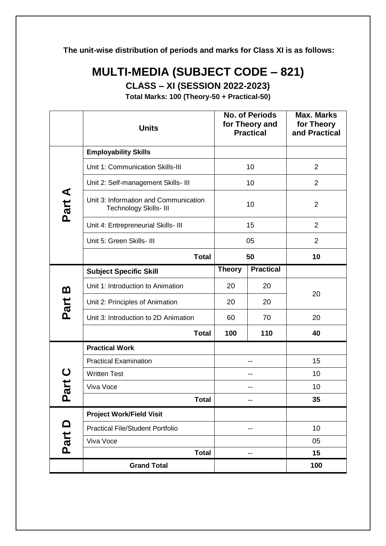**The unit-wise distribution of periods and marks for Class XI is as follows:**

# **MULTI-MEDIA (SUBJECT CODE – 821)**

**CLASS – XI (SESSION 2022-2023)**

**Total Marks: 100 (Theory-50 + Practical-50)**

|          | <b>Units</b>                                                    | <b>No. of Periods</b><br>for Theory and<br><b>Practical</b> |                  | <b>Max. Marks</b><br>for Theory<br>and Practical |  |
|----------|-----------------------------------------------------------------|-------------------------------------------------------------|------------------|--------------------------------------------------|--|
|          | <b>Employability Skills</b>                                     |                                                             |                  |                                                  |  |
|          | Unit 1: Communication Skills-III                                | 10                                                          |                  | $\overline{2}$                                   |  |
|          | Unit 2: Self-management Skills- III                             |                                                             | 10               | $\overline{2}$                                   |  |
| Part A   | Unit 3: Information and Communication<br>Technology Skills- III | 10                                                          |                  | $\overline{2}$                                   |  |
|          | Unit 4: Entrepreneurial Skills- III                             |                                                             | 15               | $\overline{2}$                                   |  |
|          | Unit 5: Green Skills- III                                       | 05                                                          |                  | $\overline{2}$                                   |  |
|          | <b>Total</b>                                                    |                                                             | 50               | 10                                               |  |
|          | <b>Subject Specific Skill</b>                                   | <b>Theory</b>                                               | <b>Practical</b> |                                                  |  |
| <u>ന</u> | Unit 1: Introduction to Animation                               | 20                                                          | 20               |                                                  |  |
| Part     | Unit 2: Principles of Animation                                 | 20                                                          | 20               | 20                                               |  |
|          | Unit 3: Introduction to 2D Animation                            | 60                                                          | 70               | 20                                               |  |
|          | <b>Total</b>                                                    | 100                                                         | 110              | 40                                               |  |
|          | <b>Practical Work</b>                                           |                                                             |                  |                                                  |  |
|          | <b>Practical Examination</b>                                    | --                                                          |                  | 15                                               |  |
|          | <b>Written Test</b>                                             | --                                                          |                  | 10                                               |  |
| art C    | Viva Voce                                                       | --                                                          |                  | 10                                               |  |
| Δ        | <b>Total</b>                                                    |                                                             |                  | 35                                               |  |
|          | <b>Project Work/Field Visit</b>                                 |                                                             |                  |                                                  |  |
| Part D   | <b>Practical File/Student Portfolio</b>                         |                                                             | --               | 10                                               |  |
|          | Viva Voce                                                       |                                                             |                  | 05                                               |  |
|          | <b>Total</b>                                                    |                                                             | --               | 15                                               |  |
|          | <b>Grand Total</b>                                              |                                                             |                  | 100                                              |  |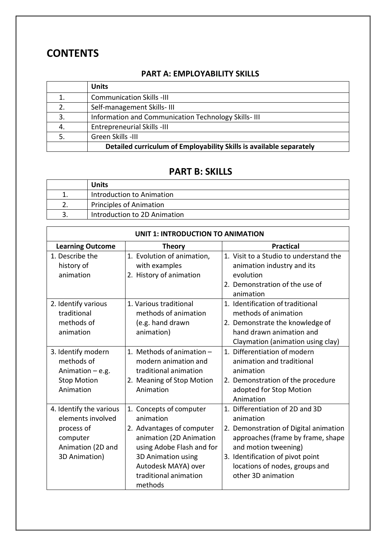### **CONTENTS**

### **PART A: EMPLOYABILITY SKILLS**

|    | <b>Units</b>                                                        |
|----|---------------------------------------------------------------------|
|    | <b>Communication Skills -III</b>                                    |
| 2. | Self-management Skills-III                                          |
| 3. | Information and Communication Technology Skills-III                 |
| 4. | <b>Entrepreneurial Skills -III</b>                                  |
|    | Green Skills -III                                                   |
|    | Detailed curriculum of Employability Skills is available separately |

### **PART B: SKILLS**

| <b>Units</b>                 |
|------------------------------|
| Introduction to Animation    |
| Principles of Animation      |
| Introduction to 2D Animation |

| <b>UNIT 1: INTRODUCTION TO ANIMATION</b> |                            |                                        |  |  |
|------------------------------------------|----------------------------|----------------------------------------|--|--|
| <b>Learning Outcome</b>                  | <b>Theory</b>              | <b>Practical</b>                       |  |  |
| 1. Describe the                          | 1. Evolution of animation, | 1. Visit to a Studio to understand the |  |  |
| history of                               | with examples              | animation industry and its             |  |  |
| animation                                | 2. History of animation    | evolution                              |  |  |
|                                          |                            | 2. Demonstration of the use of         |  |  |
|                                          |                            | animation                              |  |  |
| 2. Identify various                      | 1. Various traditional     | 1. Identification of traditional       |  |  |
| traditional                              | methods of animation       | methods of animation                   |  |  |
| methods of                               | (e.g. hand drawn           | 2. Demonstrate the knowledge of        |  |  |
| animation                                | animation)                 | hand drawn animation and               |  |  |
|                                          |                            | Claymation (animation using clay)      |  |  |
| 3. Identify modern                       | 1. Methods of animation -  | 1. Differentiation of modern           |  |  |
| methods of                               | modern animation and       | animation and traditional              |  |  |
| Animation $-e.g.$                        | traditional animation      | animation                              |  |  |
| <b>Stop Motion</b>                       | 2. Meaning of Stop Motion  | 2. Demonstration of the procedure      |  |  |
| Animation                                | Animation                  | adopted for Stop Motion                |  |  |
|                                          |                            | Animation                              |  |  |
| 4. Identify the various                  | 1. Concepts of computer    | 1. Differentiation of 2D and 3D        |  |  |
| elements involved                        | animation                  | animation                              |  |  |
| process of                               | 2. Advantages of computer  | 2. Demonstration of Digital animation  |  |  |
| computer                                 | animation (2D Animation    | approaches (frame by frame, shape      |  |  |
| Animation (2D and                        | using Adobe Flash and for  | and motion tweening)                   |  |  |
| 3D Animation)                            | 3D Animation using         | 3. Identification of pivot point       |  |  |
|                                          | Autodesk MAYA) over        | locations of nodes, groups and         |  |  |
|                                          | traditional animation      | other 3D animation                     |  |  |
|                                          | methods                    |                                        |  |  |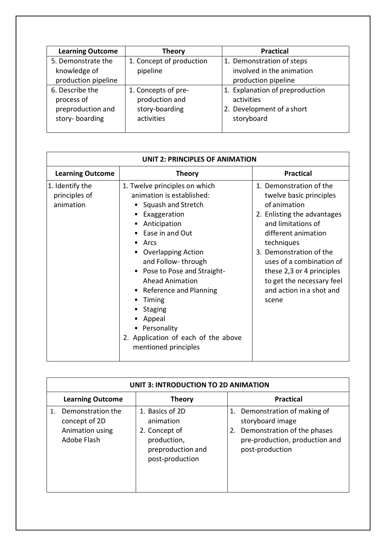| <b>Learning Outcome</b>                                              | <b>Theory</b>                                                         | <b>Practical</b>                                                                         |
|----------------------------------------------------------------------|-----------------------------------------------------------------------|------------------------------------------------------------------------------------------|
| 5. Demonstrate the<br>knowledge of<br>production pipeline            | 1. Concept of production<br>pipeline                                  | 1. Demonstration of steps<br>involved in the animation<br>production pipeline            |
| 6. Describe the<br>process of<br>preproduction and<br>story-boarding | 1. Concepts of pre-<br>production and<br>story-boarding<br>activities | 1. Explanation of preproduction<br>activities<br>2. Development of a short<br>storyboard |

| <b>UNIT 2: PRINCIPLES OF ANIMATION</b>        |                                                                                                                                                                                                                                                                                                                                                                                                        |                                                                                                                                                                                                                                                                                                                    |  |  |  |
|-----------------------------------------------|--------------------------------------------------------------------------------------------------------------------------------------------------------------------------------------------------------------------------------------------------------------------------------------------------------------------------------------------------------------------------------------------------------|--------------------------------------------------------------------------------------------------------------------------------------------------------------------------------------------------------------------------------------------------------------------------------------------------------------------|--|--|--|
| <b>Learning Outcome</b>                       | <b>Theory</b>                                                                                                                                                                                                                                                                                                                                                                                          | <b>Practical</b>                                                                                                                                                                                                                                                                                                   |  |  |  |
| 1. Identify the<br>principles of<br>animation | 1. Twelve principles on which<br>animation is established:<br>Squash and Stretch<br>Exaggeration<br>Anticipation<br>Ease in and Out<br>Arcs<br><b>Overlapping Action</b><br>and Follow-through<br>Pose to Pose and Straight-<br><b>Ahead Animation</b><br>Reference and Planning<br>Timing<br><b>Staging</b><br>Appeal<br>• Personality<br>2. Application of each of the above<br>mentioned principles | 1. Demonstration of the<br>twelve basic principles<br>of animation<br>2. Enlisting the advantages<br>and limitations of<br>different animation<br>techniques<br>3. Demonstration of the<br>uses of a combination of<br>these 2,3 or 4 principles<br>to get the necessary feel<br>and action in a shot and<br>scene |  |  |  |

| <b>UNIT 3: INTRODUCTION TO 2D ANIMATION</b>                          |                                                                                                      |                                                                                                                                             |  |  |  |
|----------------------------------------------------------------------|------------------------------------------------------------------------------------------------------|---------------------------------------------------------------------------------------------------------------------------------------------|--|--|--|
| <b>Learning Outcome</b>                                              | <b>Practical</b>                                                                                     |                                                                                                                                             |  |  |  |
| Demonstration the<br>concept of 2D<br>Animation using<br>Adobe Flash | 1. Basics of 2D<br>animation<br>2. Concept of<br>production,<br>preproduction and<br>post-production | 1. Demonstration of making of<br>storyboard image<br>Demonstration of the phases<br>2.<br>pre-production, production and<br>post-production |  |  |  |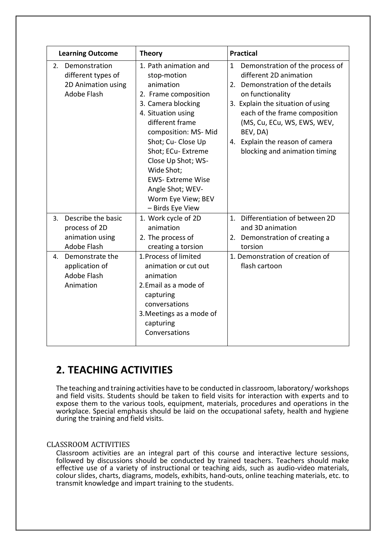| <b>Learning Outcome</b>                                                     | <b>Theory</b>                                                                                                                                                                                                                                                                                                                             | <b>Practical</b>                                                                                                                                                                                                                                                                                              |
|-----------------------------------------------------------------------------|-------------------------------------------------------------------------------------------------------------------------------------------------------------------------------------------------------------------------------------------------------------------------------------------------------------------------------------------|---------------------------------------------------------------------------------------------------------------------------------------------------------------------------------------------------------------------------------------------------------------------------------------------------------------|
| 2. Demonstration<br>different types of<br>2D Animation using<br>Adobe Flash | 1. Path animation and<br>stop-motion<br>animation<br>2. Frame composition<br>3. Camera blocking<br>4. Situation using<br>different frame<br>composition: MS- Mid<br>Shot; Cu- Close Up<br>Shot; ECu- Extreme<br>Close Up Shot; WS-<br>Wide Shot;<br><b>EWS-Extreme Wise</b><br>Angle Shot; WEV-<br>Worm Eye View; BEV<br>- Birds Eye View | Demonstration of the process of<br>1<br>different 2D animation<br>2. Demonstration of the details<br>on functionality<br>3. Explain the situation of using<br>each of the frame composition<br>(MS, Cu, ECu, WS, EWS, WEV,<br>BEV, DA)<br>Explain the reason of camera<br>4.<br>blocking and animation timing |
| Describe the basic<br>3.<br>process of 2D<br>animation using<br>Adobe Flash | 1. Work cycle of 2D<br>animation<br>2. The process of<br>creating a torsion                                                                                                                                                                                                                                                               | Differentiation of between 2D<br>1.<br>and 3D animation<br>Demonstration of creating a<br>2.<br>torsion                                                                                                                                                                                                       |
| Demonstrate the<br>4.<br>application of<br>Adobe Flash<br>Animation         | 1. Process of limited<br>animation or cut out<br>animation<br>2. Email as a mode of<br>capturing<br>conversations<br>3. Meetings as a mode of<br>capturing<br>Conversations                                                                                                                                                               | 1. Demonstration of creation of<br>flash cartoon                                                                                                                                                                                                                                                              |

## **2. TEACHING ACTIVITIES**

The teaching and training activities have to be conducted in classroom, laboratory/ workshops and field visits. Students should be taken to field visits for interaction with experts and to expose them to the various tools, equipment, materials, procedures and operations in the workplace. Special emphasis should be laid on the occupational safety, health and hygiene during the training and field visits.

#### CLASSROOM ACTIVITIES

Classroom activities are an integral part of this course and interactive lecture sessions, followed by discussions should be conducted by trained teachers. Teachers should make effective use of a variety of instructional or teaching aids, such as audio-video materials, colour slides, charts, diagrams, models, exhibits, hand-outs, online teaching materials, etc. to transmit knowledge and impart training to the students.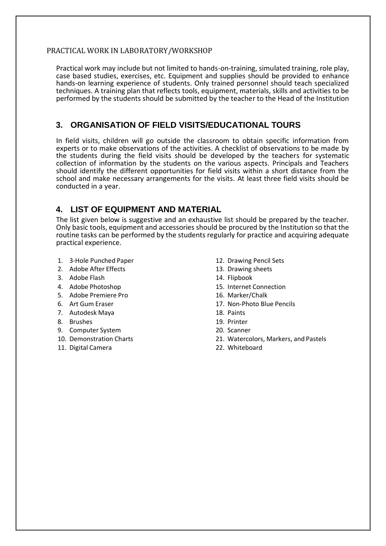#### PRACTICAL WORK IN LABORATORY/WORKSHOP

Practical work may include but not limited to hands-on-training, simulated training, role play, case based studies, exercises, etc. Equipment and supplies should be provided to enhance hands-on learning experience of students. Only trained personnel should teach specialized techniques. A training plan that reflects tools, equipment, materials, skills and activities to be performed by the students should be submitted by the teacher to the Head of the Institution

### **3. ORGANISATION OF FIELD VISITS/EDUCATIONAL TOURS**

In field visits, children will go outside the classroom to obtain specific information from experts or to make observations of the activities. A checklist of observations to be made by the students during the field visits should be developed by the teachers for systematic collection of information by the students on the various aspects. Principals and Teachers should identify the different opportunities for field visits within a short distance from the school and make necessary arrangements for the visits. At least three field visits should be conducted in a year.

### **4. LIST OF EQUIPMENT AND MATERIAL**

The list given below is suggestive and an exhaustive list should be prepared by the teacher. Only basic tools, equipment and accessories should be procured by the Institution so that the routine tasks can be performed by the students regularly for practice and acquiring adequate practical experience.

- 1. 3-Hole Punched Paper
- 2. Adobe After Effects
- 3. Adobe Flash
- 4. Adobe Photoshop
- 5. Adobe Premiere Pro
- 6. Art Gum Eraser
- 7. Autodesk Maya
- 8. Brushes
- 9. Computer System
- 10. Demonstration Charts
- 11. Digital Camera
- 12. Drawing Pencil Sets
- 13. Drawing sheets
- 14. Flipbook
- 15. Internet Connection
- 16. Marker/Chalk
- 17. Non-Photo Blue Pencils
- 18. Paints
- 19. Printer
- 20. Scanner
- 21. Watercolors, Markers, and Pastels
- 22. Whiteboard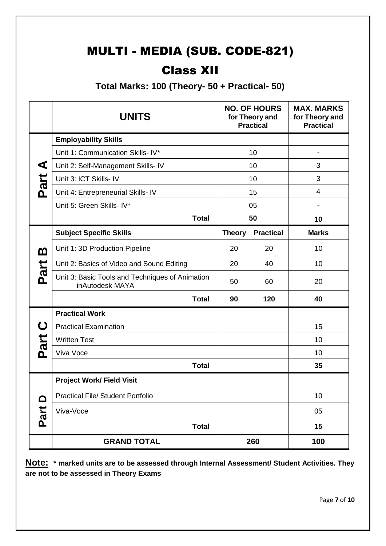# MULTI - MEDIA (SUB. CODE-821)

# Class XII

**Total Marks: 100 (Theory- 50 + Practical- 50)**

|            | <b>UNITS</b>                                                       |               | <b>NO. OF HOURS</b><br>for Theory and<br><b>Practical</b> | <b>MAX. MARKS</b><br>for Theory and<br><b>Practical</b> |
|------------|--------------------------------------------------------------------|---------------|-----------------------------------------------------------|---------------------------------------------------------|
|            | <b>Employability Skills</b>                                        |               |                                                           |                                                         |
|            | Unit 1: Communication Skills- IV*                                  |               | 10                                                        | $\overline{\phantom{a}}$                                |
| ◀          | Unit 2: Self-Management Skills- IV                                 |               | 10                                                        | 3                                                       |
| Part       | Unit 3: ICT Skills- IV                                             |               | 10                                                        | 3                                                       |
|            | Unit 4: Entrepreneurial Skills- IV                                 |               | 15                                                        | $\overline{4}$                                          |
|            | Unit 5: Green Skills- IV*                                          |               | 05                                                        |                                                         |
|            | <b>Total</b>                                                       |               | 50                                                        | 10                                                      |
|            | <b>Subject Specific Skills</b>                                     | <b>Theory</b> | <b>Practical</b>                                          | <b>Marks</b>                                            |
| മ          | Unit 1: 3D Production Pipeline                                     | 20            | 20                                                        | 10                                                      |
|            | Unit 2: Basics of Video and Sound Editing                          |               | 40                                                        | 10                                                      |
| Part       | Unit 3: Basic Tools and Techniques of Animation<br>inAutodesk MAYA | 50            | 60                                                        | 20                                                      |
|            | <b>Total</b>                                                       | 90            | 120                                                       | 40                                                      |
|            | <b>Practical Work</b>                                              |               |                                                           |                                                         |
| ပ          | <b>Practical Examination</b>                                       |               |                                                           | 15                                                      |
| Part       | <b>Written Test</b>                                                |               |                                                           | 10                                                      |
|            | Viva Voce                                                          |               |                                                           | 10                                                      |
|            | <b>Total</b>                                                       |               |                                                           | 35                                                      |
|            | <b>Project Work/ Field Visit</b>                                   |               |                                                           |                                                         |
| ≏          | <b>Practical File/ Student Portfolio</b>                           |               |                                                           | 10                                                      |
| <b>hie</b> | Viva-Voce                                                          |               |                                                           | 05                                                      |
| <b>Q</b>   | <b>Total</b>                                                       |               |                                                           | 15                                                      |
|            | <b>GRAND TOTAL</b>                                                 |               | 260                                                       | 100                                                     |

**Note: \* marked units are to be assessed through Internal Assessment/ Student Activities. They are not to be assessed in Theory Exams**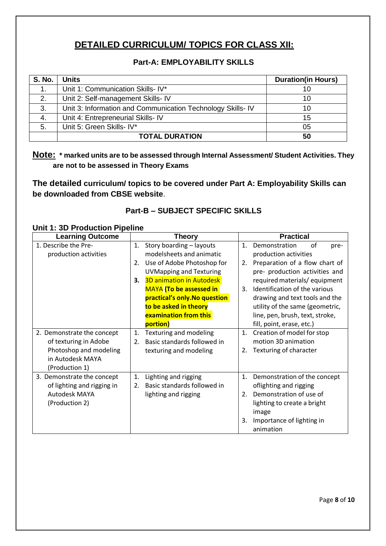### **DETAILED CURRICULUM/ TOPICS FOR CLASS XII:**

### **Part-A: EMPLOYABILITY SKILLS**

| <b>S. No.</b> | <b>Units</b>                                                | <b>Duration(in Hours)</b> |
|---------------|-------------------------------------------------------------|---------------------------|
| $\mathbf 1$ . | Unit 1: Communication Skills- IV*                           |                           |
| 2.            | Unit 2: Self-management Skills- IV                          | 10                        |
| 3.            | Unit 3: Information and Communication Technology Skills- IV | 10                        |
| 4.            | Unit 4: Entrepreneurial Skills- IV                          | 15                        |
| 5.            | Unit 5: Green Skills- IV*                                   | 05                        |
|               | <b>TOTAL DURATION</b>                                       | 50                        |

### **Note: \* marked units are to be assessed through Internal Assessment/ Student Activities. They are not to be assessed in Theory Exams**

**The detailed curriculum/ topics to be covered under Part A: Employability Skills can be downloaded from CBSE website**.

### **Part-B – SUBJECT SPECIFIC SKILLS**

|  | <b>Unit 1: 3D Production Pipeline</b> |  |
|--|---------------------------------------|--|
|  |                                       |  |

| <b>Learning Outcome</b>    | <b>Theory</b>                         | <b>Practical</b>                              |
|----------------------------|---------------------------------------|-----------------------------------------------|
| 1. Describe the Pre-       | Story boarding - layouts<br>1.        | Demonstration<br>of<br>$\mathbf{1}$ .<br>pre- |
| production activities      | modelsheets and animatic              | production activities                         |
|                            | Use of Adobe Photoshop for<br>2.      | Preparation of a flow chart of<br>2.          |
|                            | <b>UVMapping and Texturing</b>        | pre- production activities and                |
|                            | <b>3D animation in Autodesk</b><br>3. | required materials/equipment                  |
|                            | <b>MAYA</b> (To be assessed in        | Identification of the various<br>3.           |
|                            | practical's only. No question         | drawing and text tools and the                |
|                            | to be asked in theory                 | utility of the same (geometric,               |
|                            | <b>examination from this</b>          | line, pen, brush, text, stroke,               |
|                            | portion)                              | fill, point, erase, etc.)                     |
| 2. Demonstrate the concept | Texturing and modeling<br>1.          | Creation of model for stop<br>$\mathbf{1}$ .  |
| of texturing in Adobe      | Basic standards followed in<br>2.     | motion 3D animation                           |
| Photoshop and modeling     | texturing and modeling                | Texturing of character<br>2.                  |
| in Autodesk MAYA           |                                       |                                               |
| (Production 1)             |                                       |                                               |
| 3. Demonstrate the concept | Lighting and rigging<br>1.            | 1.<br>Demonstration of the concept            |
| of lighting and rigging in | Basic standards followed in<br>2.     | oflighting and rigging                        |
| Autodesk MAYA              | lighting and rigging                  | Demonstration of use of<br>2.                 |
| (Production 2)             |                                       | lighting to create a bright                   |
|                            |                                       | image                                         |
|                            |                                       | Importance of lighting in<br>3.               |
|                            |                                       | animation                                     |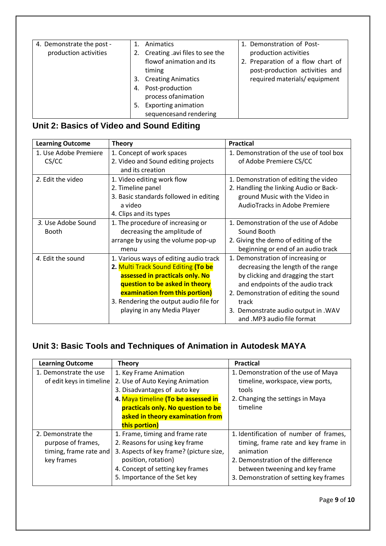| 4. Demonstrate the post - | Animatics                            | 1. Demonstration of Post-         |
|---------------------------|--------------------------------------|-----------------------------------|
| production activities     | Creating .avi files to see the<br>2. | production activities             |
|                           | flowof animation and its             | 2. Preparation of a flow chart of |
|                           | timing                               | post-production activities and    |
|                           | <b>Creating Animatics</b><br>3.      | required materials/equipment      |
|                           | Post-production<br>4.                |                                   |
|                           | process of animation                 |                                   |
|                           | <b>Exporting animation</b>           |                                   |
|                           | sequencesand rendering               |                                   |

## **Unit 2: Basics of Video and Sound Editing**

| <b>Learning Outcome</b> | <b>Theory</b>                          | <b>Practical</b>                        |
|-------------------------|----------------------------------------|-----------------------------------------|
| 1. Use Adobe Premiere   | 1. Concept of work spaces              | 1. Demonstration of the use of tool box |
| CS/CC                   | 2. Video and Sound editing projects    | of Adobe Premiere CS/CC                 |
|                         | and its creation                       |                                         |
| 2. Edit the video       | 1. Video editing work flow             | 1. Demonstration of editing the video   |
|                         | 2. Timeline panel                      | 2. Handling the linking Audio or Back-  |
|                         | 3. Basic standards followed in editing | ground Music with the Video in          |
|                         | a video                                | AudioTracks in Adobe Premiere           |
|                         | 4. Clips and its types                 |                                         |
| 3. Use Adobe Sound      | 1. The procedure of increasing or      | 1. Demonstration of the use of Adobe    |
| <b>Booth</b>            | decreasing the amplitude of            | Sound Booth                             |
|                         | arrange by using the volume pop-up     | 2. Giving the demo of editing of the    |
|                         | menu                                   | beginning or end of an audio track      |
| 4. Edit the sound       | 1. Various ways of editing audio track | 1. Demonstration of increasing or       |
|                         | 2. Multi Track Sound Editing (To be    | decreasing the length of the range      |
|                         | assessed in practicals only. No        | by clicking and dragging the start      |
|                         | question to be asked in theory         | and endpoints of the audio track        |
|                         | examination from this portion)         | 2. Demonstration of editing the sound   |
|                         | 3. Rendering the output audio file for | track                                   |
|                         | playing in any Media Player            | 3. Demonstrate audio output in .WAV     |
|                         |                                        | and .MP3 audio file format              |

### **Unit 3: Basic Tools and Techniques of Animation in Autodesk MAYA**

| <b>Learning Outcome</b>  | <b>Theory</b>                           | <b>Practical</b>                       |
|--------------------------|-----------------------------------------|----------------------------------------|
| 1. Demonstrate the use   | 1. Key Frame Animation                  | 1. Demonstration of the use of Maya    |
| of edit keys in timeline | 2. Use of Auto Keying Animation         | timeline, workspace, view ports,       |
|                          | 3. Disadvantages of auto key            | tools                                  |
|                          | 4. Maya timeline (To be assessed in     | 2. Changing the settings in Maya       |
|                          | practicals only. No question to be      | timeline                               |
|                          | asked in theory examination from        |                                        |
|                          | this portion)                           |                                        |
| 2. Demonstrate the       | 1. Frame, timing and frame rate         | 1. Identification of number of frames, |
| purpose of frames,       | 2. Reasons for using key frame          | timing, frame rate and key frame in    |
| timing, frame rate and   | 3. Aspects of key frame? (picture size, | animation                              |
| key frames               | position, rotation)                     | 2. Demonstration of the difference     |
|                          | 4. Concept of setting key frames        | between tweening and key frame         |
|                          | 5. Importance of the Set key            | 3. Demonstration of setting key frames |

Page **9** of **10**